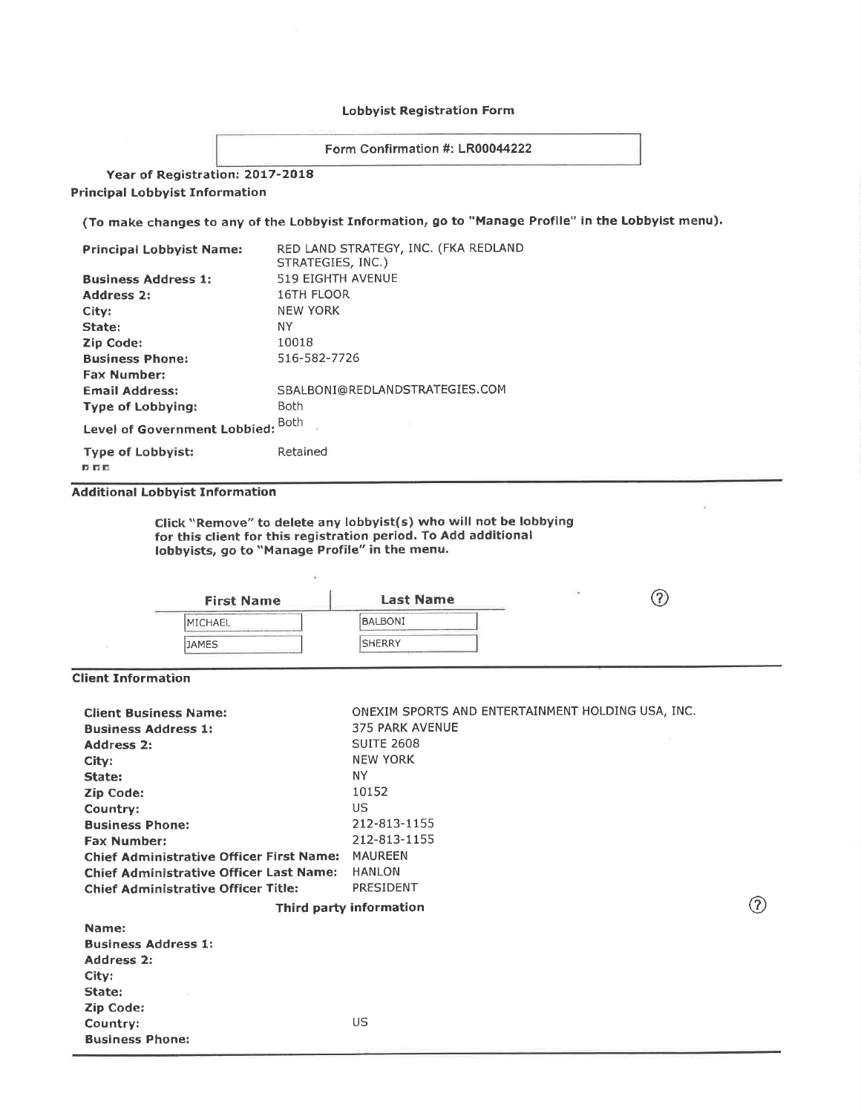### Lobbyist Registration Form

Form Confirmation #: LR00044222

Year of Registration: 2017-2018 **Principal Lobbyist Information** 

(To make changes to any of the Lobbyist Information, go to "Manage Profile" in the Lobbyist menu).

| <b>Principal Lobbyist Name:</b>             | RED LAND STRATEGY, INC. (FKA REDLAND<br>STRATEGIES, INC.) |  |
|---------------------------------------------|-----------------------------------------------------------|--|
| <b>Business Address 1:</b>                  | 519 EIGHTH AVENUE                                         |  |
| <b>Address 2:</b>                           | <b>16TH FLOOR</b>                                         |  |
| City:                                       | <b>NEW YORK</b>                                           |  |
| State:                                      | ΝY                                                        |  |
| Zip Code:                                   | 10018                                                     |  |
| <b>Business Phone:</b>                      | 516-582-7726                                              |  |
| <b>Fax Number:</b>                          |                                                           |  |
| <b>Email Address:</b>                       | SBALBONI@REDLANDSTRATEGIES.COM                            |  |
| <b>Type of Lobbying:</b>                    | <b>Both</b>                                               |  |
| <b>Both</b><br>Level of Government Lobbied: |                                                           |  |
| <b>Type of Lobbyist:</b>                    | Retained                                                  |  |

 $n<sub>n</sub>$ 

Additional Lobbyist Information

Click "Remove" to delete any lobbyist(s) who will not be lobbying for this client for this registration period. To Add additional lobbyists, go to "Manage Profile" in the menu.

ÿ

| <b>First Name</b> | <b>Last Name</b> | 36 |
|-------------------|------------------|----|
| <b>IMICHAEL</b>   | BALBONI          |    |
| <b>JAMES</b>      | <b>SHERRY</b>    |    |

í,

## Client Information

| <b>Client Business Name:</b><br><b>Business Address 1:</b><br>Address 2:<br>City:<br>State:<br><b>Zip Code:</b><br>Country:<br><b>Business Phone:</b><br><b>Fax Number:</b><br><b>Chief Administrative Officer First Name:</b><br><b>Chief Administrative Officer Last Name:</b><br><b>Chief Administrative Officer Title:</b> | ONEXIM SPORTS AND ENTERTAINMENT HOLDING USA, INC.<br>375 PARK AVENUE<br><b>SUITE 2608</b><br><b>NEW YORK</b><br>NY.<br>10152<br>US.<br>212-813-1155<br>212-813-1155<br><b>MAUREEN</b><br><b>HANLON</b><br>PRESIDENT |     |
|--------------------------------------------------------------------------------------------------------------------------------------------------------------------------------------------------------------------------------------------------------------------------------------------------------------------------------|---------------------------------------------------------------------------------------------------------------------------------------------------------------------------------------------------------------------|-----|
|                                                                                                                                                                                                                                                                                                                                | Third party information                                                                                                                                                                                             | (7) |
| Name:<br><b>Business Address 1:</b><br>Address 2:<br>City:<br>State:<br><b>Zip Code:</b><br>Country:<br><b>Business Phone:</b>                                                                                                                                                                                                 | US                                                                                                                                                                                                                  |     |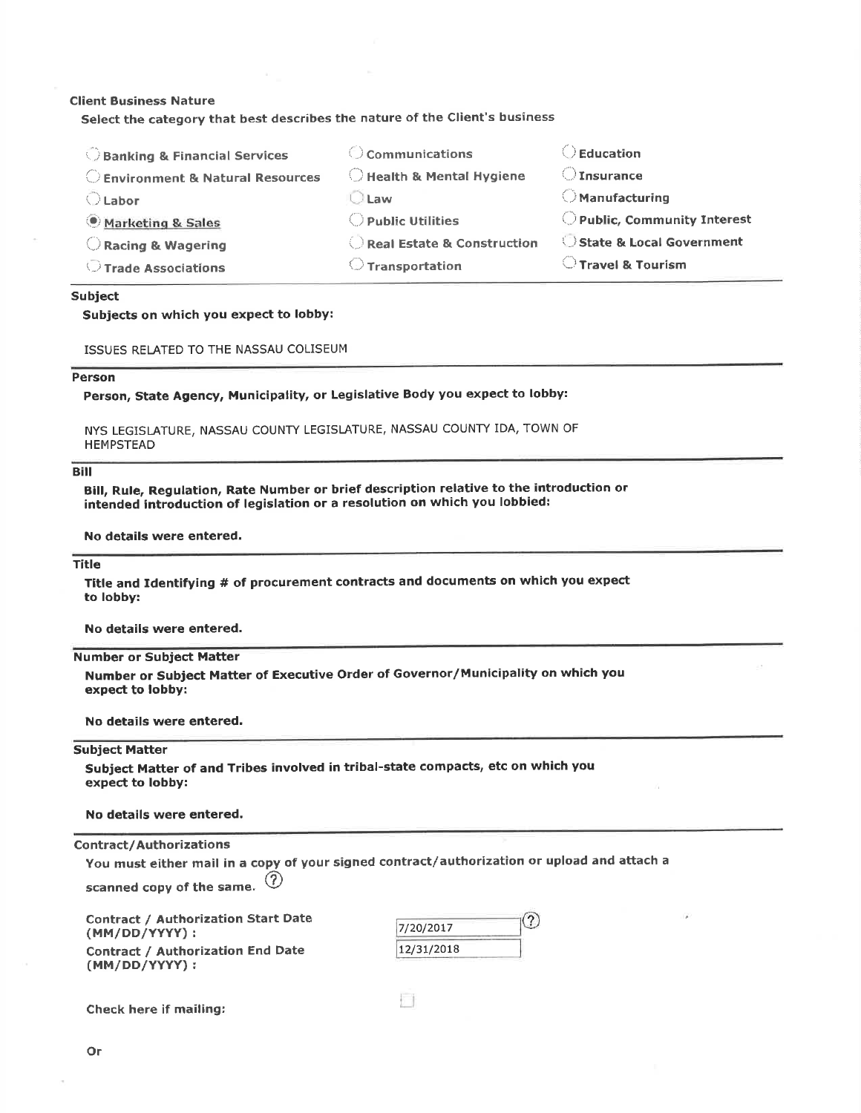#### **Client Business Nature**

Select the category that best describes the nature of the Client's business

| <b>Banking &amp; Financial Services</b> | $\bigcirc$ Communications   | $\angle$ Education           |
|-----------------------------------------|-----------------------------|------------------------------|
| Environment & Natural Resources         | Health & Mental Hygiene     | $\bigcirc$ Insurance         |
| $\bigcirc$ Labor                        | $\Box$ Law                  | $\bigcirc$ Manufacturing     |
| Marketing & Sales                       | $\bigcirc$ Public Utilities | O Public, Community Interest |
| Racing & Wagering                       | Real Estate & Construction  | State & Local Government     |
| Trade Associations                      | Transportation              | $\bigcirc$ Travel & Tourism  |
|                                         |                             |                              |

#### **Subject**

#### Subjects on which you expect to lobby:

ISSUES RELATED TO THE NASSAU COLISEUM

#### Person

Person, State Agency, Municipality, or Legislative Body you expect to lobby:

NYS LEGISLATURE, NASSAU COUNTY LEGISLATURE, NASSAU COUNTY IDA, TOWN OF **HEMPSTEAD** 

#### **Bill**

Bill, Rule, Regulation, Rate Number or brief description relative to the introduction or intended introduction of legislation or a resolution on which you lobbied:

No details were entered.

### **Title**

Title and Identifying # of procurement contracts and documents on which you expect to lobby:

No details were entered.

#### **Number or Subject Matter**

Number or Subject Matter of Executive Order of Governor/Municipality on which you expect to lobby:

No details were entered.

#### **Subject Matter**

Subject Matter of and Tribes involved in tribal-state compacts, etc on which you expect to lobby:

#### No details were entered.

#### **Contract/Authorizations**

You must either mail in a copy of your signed contract/authorization or upload and attach a  $\circled{3}$ 

n

scanned copy of the same.

**Contract / Authorization Start Date** (MM/DD/YYYY): **Contract / Authorization End Date** (MM/DD/YYYY):



**Check here if mailing:**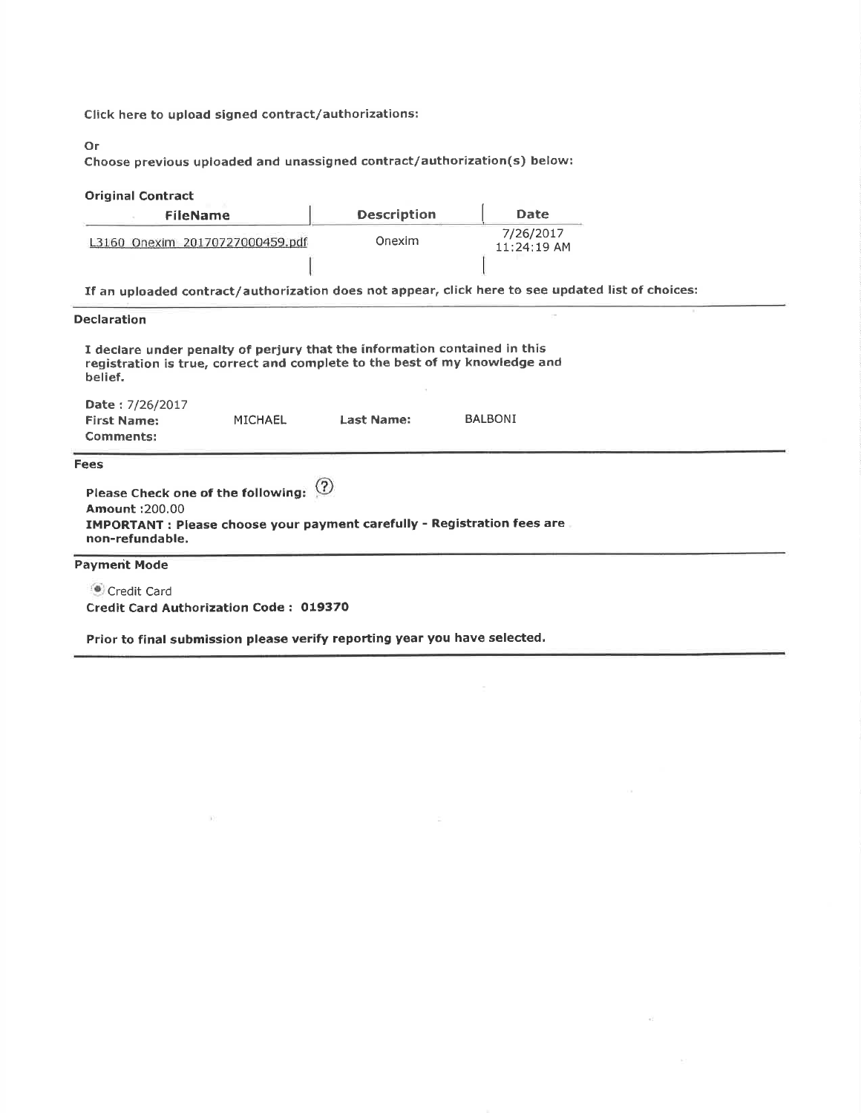Click here to upload signed contract/authorizations:

Or

Choose previous uploaded and unassigned contract/authorization(s) below:

# Original Contract

| <b>FileName</b>                 | <b>Description</b> | Date                     |
|---------------------------------|--------------------|--------------------------|
| L3160 Onexim 20170727000459.pdf | Onexim             | 7/26/2017<br>11:24:19 AM |
|                                 |                    |                          |

If an uploaded contract/authorization does not appear, click here to see updated list of choices:

#### Declaration

| I declare under penalty of perjury that the information contained in this  |
|----------------------------------------------------------------------------|
| registration is true, correct and complete to the best of my knowledge and |
| belief.                                                                    |

| <b>Date:</b> 7/26/2017<br><b>First Name:</b><br><b>Comments:</b>                            | MICHAEL | Last Name: | <b>BALBONI</b> |  |  |
|---------------------------------------------------------------------------------------------|---------|------------|----------------|--|--|
| Fees<br>Please Check one of the following: $\circled{?}$                                    |         |            |                |  |  |
| <b>Amount: 200.00</b>                                                                       |         |            |                |  |  |
| IMPORTANT : Please choose your payment carefully - Registration fees are<br>non-refundable. |         |            |                |  |  |

## Paymerit Mode

**Credit Card** Credit Card Authorization Code : O19370

 $(1)$ 

Prior to final submission please verify reporting year you have selected,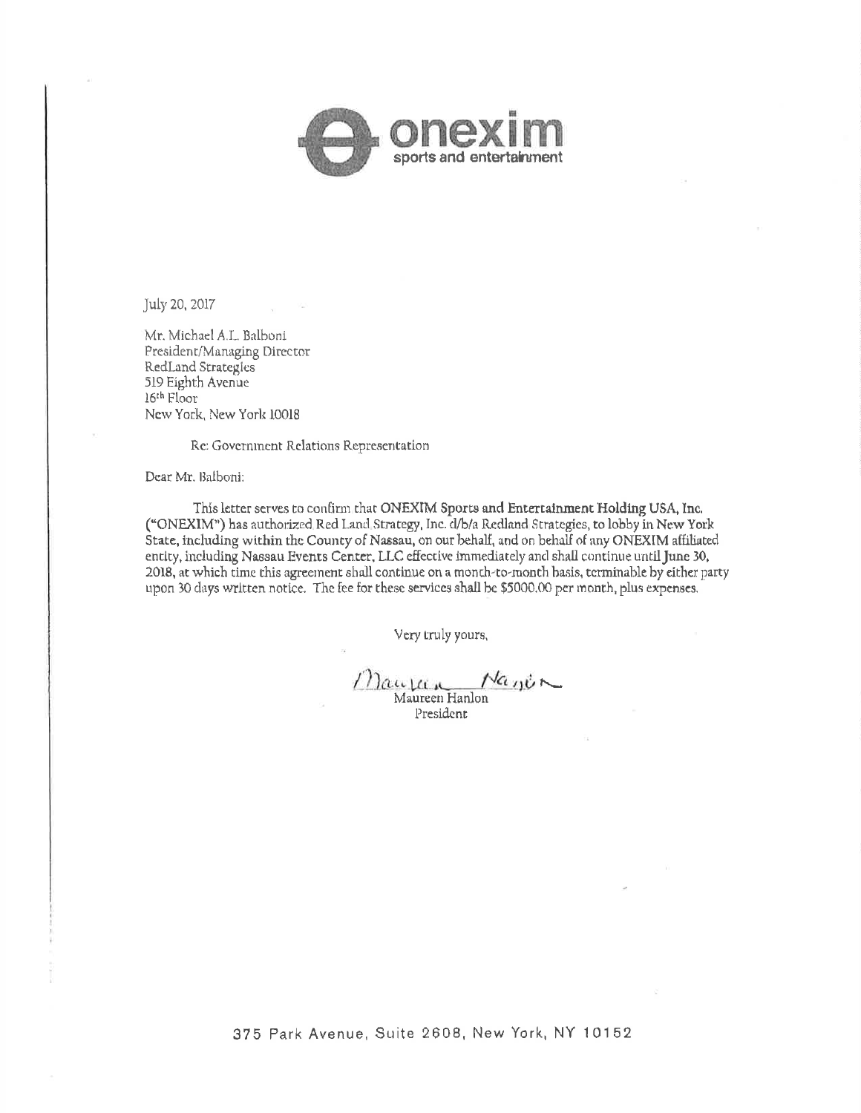

July 20, 2017

Mr. Michael A.L. Balboni President/Managing Director RedLand Strategies 519 Eighth Avenue 16th Floor New York, New York 10018

Re: Government Relations Representation

Dear Mr. Balboni:

This letter serves to confirm that ONEXIM Sports and Entertainment Holding USA, Inc. ("ONEXIM") has authorized Red Land Strategy, Inc. d/b/a Redland Strategies, to lobby in New York State, including within the County of Nassau, on our behalf, and on behalf of any ONEXIM affiliated entity, including Nassau Events Center, LLC effective immediately and shall continue until June 30, 2018, at which time this agreement shall continue on a month-to-month basis, terminable by either party upon 30 days written notice. The fee for these services shall be \$5000.00 per month, plus expenses.

Very truly yours,

Mauran Nanin Maureen Hanlon

President

375 Park Avenue, Suite 2608, New York, NY 10152